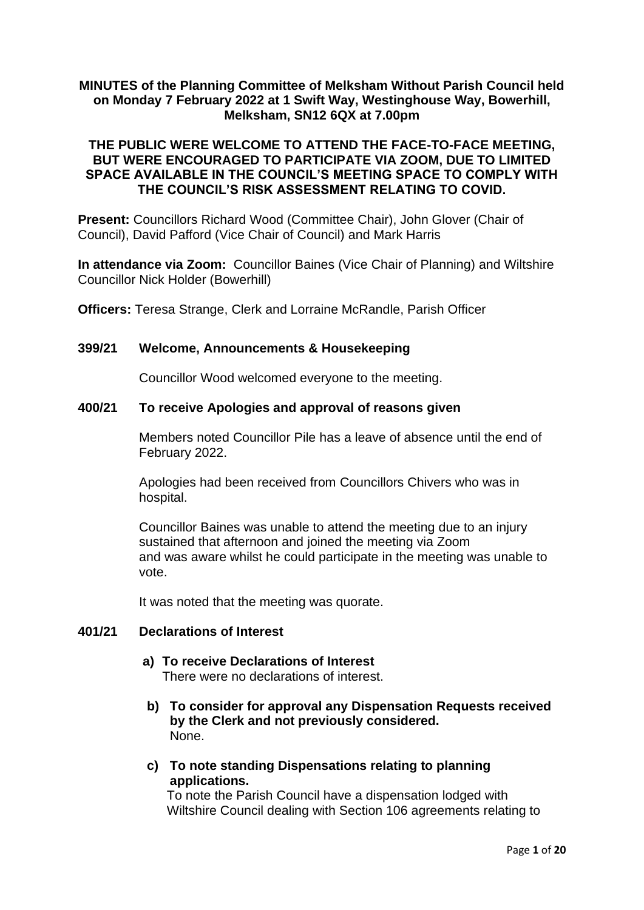## **MINUTES of the Planning Committee of Melksham Without Parish Council held on Monday 7 February 2022 at 1 Swift Way, Westinghouse Way, Bowerhill, Melksham, SN12 6QX at 7.00pm**

## **THE PUBLIC WERE WELCOME TO ATTEND THE FACE-TO-FACE MEETING, BUT WERE ENCOURAGED TO PARTICIPATE VIA ZOOM, DUE TO LIMITED SPACE AVAILABLE IN THE COUNCIL'S MEETING SPACE TO COMPLY WITH THE COUNCIL'S RISK ASSESSMENT RELATING TO COVID.**

**Present:** Councillors Richard Wood (Committee Chair), John Glover (Chair of Council), David Pafford (Vice Chair of Council) and Mark Harris

**In attendance via Zoom:** Councillor Baines (Vice Chair of Planning) and Wiltshire Councillor Nick Holder (Bowerhill)

**Officers:** Teresa Strange, Clerk and Lorraine McRandle, Parish Officer

#### **399/21 Welcome, Announcements & Housekeeping**

Councillor Wood welcomed everyone to the meeting.

#### **400/21 To receive Apologies and approval of reasons given**

Members noted Councillor Pile has a leave of absence until the end of February 2022.

Apologies had been received from Councillors Chivers who was in hospital.

Councillor Baines was unable to attend the meeting due to an injury sustained that afternoon and joined the meeting via Zoom and was aware whilst he could participate in the meeting was unable to vote.

It was noted that the meeting was quorate.

#### **401/21 Declarations of Interest**

# **a) To receive Declarations of Interest**

There were no declarations of interest.

- **b) To consider for approval any Dispensation Requests received by the Clerk and not previously considered.** None.
- **c) To note standing Dispensations relating to planning applications.**

To note the Parish Council have a dispensation lodged with Wiltshire Council dealing with Section 106 agreements relating to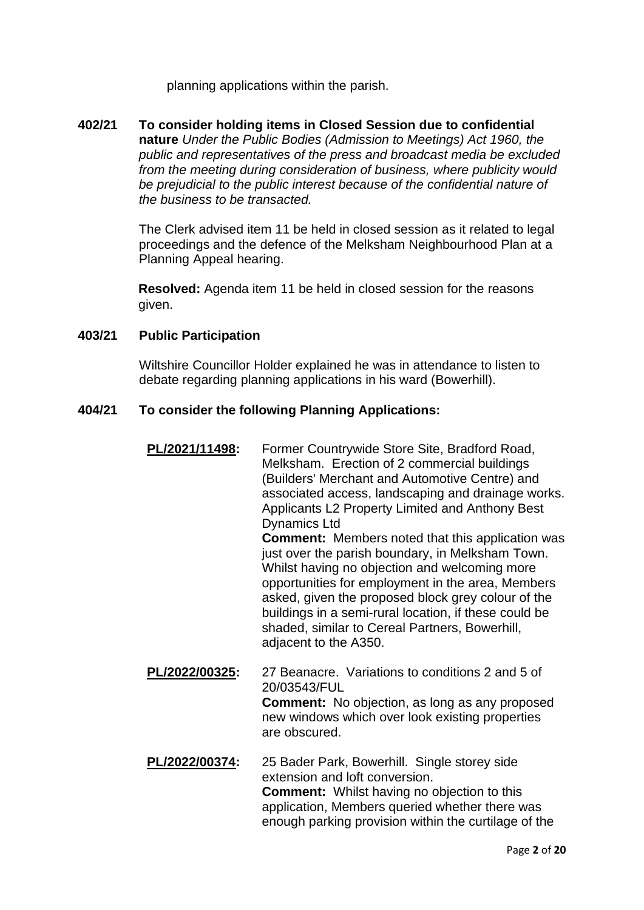planning applications within the parish.

**402/21 To consider holding items in Closed Session due to confidential nature** *Under the Public Bodies (Admission to Meetings) Act 1960, the public and representatives of the press and broadcast media be excluded from the meeting during consideration of business, where publicity would be prejudicial to the public interest because of the confidential nature of the business to be transacted.*

> The Clerk advised item 11 be held in closed session as it related to legal proceedings and the defence of the Melksham Neighbourhood Plan at a Planning Appeal hearing.

 **Resolved:** Agenda item 11 be held in closed session for the reasons given.

## **403/21 Public Participation**

Wiltshire Councillor Holder explained he was in attendance to listen to debate regarding planning applications in his ward (Bowerhill).

### **404/21 To consider the following Planning Applications:**

**[PL/2021/11498:](https://development.wiltshire.gov.uk/pr/s/planning-application/a0i3z000017AxQFAA0/pl202111498)** Former Countrywide Store Site, Bradford Road, Melksham. Erection of 2 commercial buildings (Builders' Merchant and Automotive Centre) and associated access, landscaping and drainage works. Applicants L2 Property Limited and Anthony Best Dynamics Ltd **Comment:** Members noted that this application was just over the parish boundary, in Melksham Town. Whilst having no objection and welcoming more opportunities for employment in the area, Members asked, given the proposed block grey colour of the buildings in a semi-rural location, if these could be

shaded, similar to Cereal Partners, Bowerhill,

**PL/2022/00325:** 27 Beanacre. Variations to conditions 2 and 5 of 20/03543/FUL **Comment:** No objection, as long as any proposed new windows which over look existing properties are obscured.

adjacent to the A350.

### **PL/2022/00374:** 25 Bader Park, Bowerhill. Single storey side extension and loft conversion. **Comment:** Whilst having no objection to this application, Members queried whether there was enough parking provision within the curtilage of the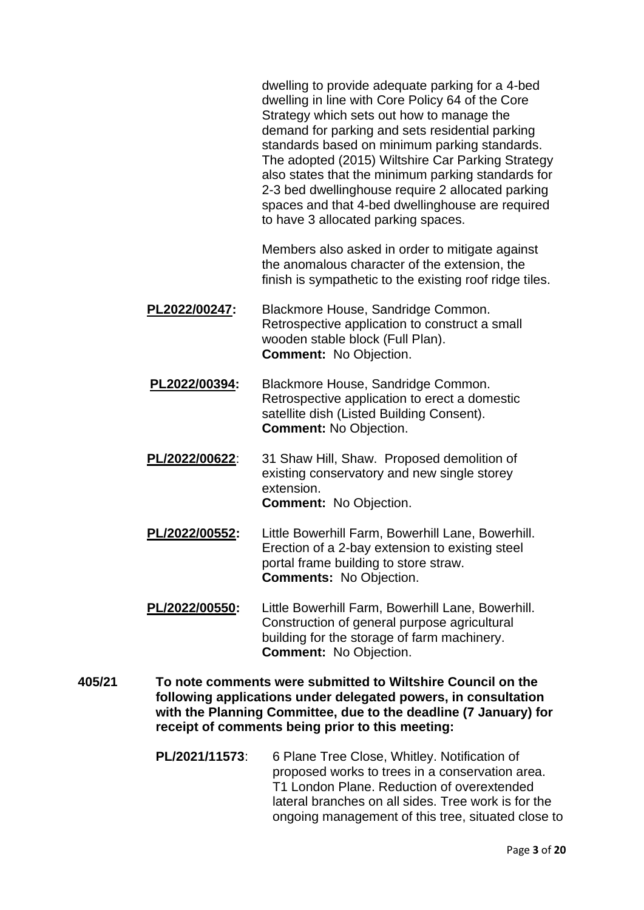dwelling to provide adequate parking for a 4-bed dwelling in line with Core Policy 64 of the Core Strategy which sets out how to manage the demand for parking and sets residential parking standards based on minimum parking standards. The adopted (2015) Wiltshire Car Parking Strategy also states that the minimum parking standards for 2-3 bed dwellinghouse require 2 allocated parking spaces and that 4-bed dwellinghouse are required to have 3 allocated parking spaces.

Members also asked in order to mitigate against the anomalous character of the extension, the finish is sympathetic to the existing roof ridge tiles.

- **PL2022/00247:** Blackmore House, Sandridge Common. Retrospective application to construct a small wooden stable block (Full Plan). **Comment:** No Objection.
- **PL2022/00394:** Blackmore House, Sandridge Common. Retrospective application to erect a domestic satellite dish (Listed Building Consent). **Comment:** No Objection.
- **PL/2022/00622**: 31 Shaw Hill, Shaw. Proposed demolition of existing conservatory and new single storey extension. **Comment:** No Objection.
- **PL/2022/00552:** Little Bowerhill Farm, Bowerhill Lane, Bowerhill. Erection of a 2-bay extension to existing steel portal frame building to store straw. **Comments:** No Objection.
- **PL/2022/00550:** Little Bowerhill Farm, Bowerhill Lane, Bowerhill. Construction of general purpose agricultural building for the storage of farm machinery. **Comment:** No Objection.
- **405/21 To note comments were submitted to Wiltshire Council on the following applications under delegated powers, in consultation with the Planning Committee, due to the deadline (7 January) for receipt of comments being prior to this meeting:**
	- **PL/2021/11573**: 6 Plane Tree Close, Whitley. Notification of proposed works to trees in a conservation area. T1 London Plane. Reduction of overextended lateral branches on all sides. Tree work is for the ongoing management of this tree, situated close to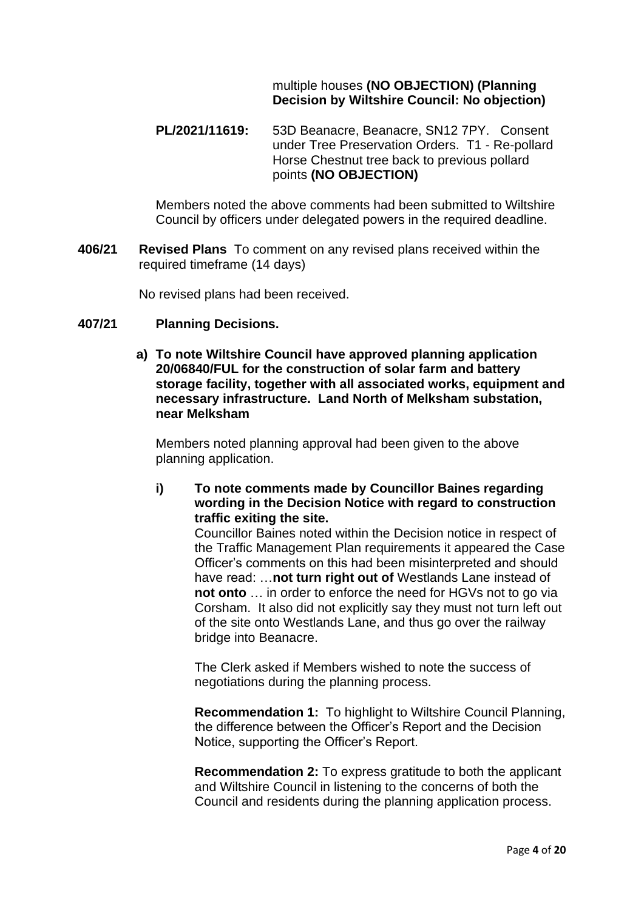## multiple houses **(NO OBJECTION) (Planning Decision by Wiltshire Council: No objection)**

 **PL/2021/11619:** 53D Beanacre, Beanacre, SN12 7PY. Consent under Tree Preservation Orders. T1 - Re-pollard Horse Chestnut tree back to previous pollard points **(NO OBJECTION)**

Members noted the above comments had been submitted to Wiltshire Council by officers under delegated powers in the required deadline.

**406/21 Revised Plans** To comment on any revised plans received within the required timeframe (14 days)

No revised plans had been received.

#### **407/21 Planning Decisions.**

**a) To note Wiltshire Council have approved planning application 20/06840/FUL for the construction of solar farm and battery storage facility, together with all associated works, equipment and necessary infrastructure. Land North of Melksham substation, near Melksham**

Members noted planning approval had been given to the above planning application.

**i) To note comments made by Councillor Baines regarding wording in the Decision Notice with regard to construction traffic exiting the site.**

Councillor Baines noted within the Decision notice in respect of the Traffic Management Plan requirements it appeared the Case Officer's comments on this had been misinterpreted and should have read: …**not turn right out of** Westlands Lane instead of **not onto** … in order to enforce the need for HGVs not to go via Corsham. It also did not explicitly say they must not turn left out of the site onto Westlands Lane, and thus go over the railway bridge into Beanacre.

The Clerk asked if Members wished to note the success of negotiations during the planning process.

**Recommendation 1:** To highlight to Wiltshire Council Planning, the difference between the Officer's Report and the Decision Notice, supporting the Officer's Report.

**Recommendation 2:** To express gratitude to both the applicant and Wiltshire Council in listening to the concerns of both the Council and residents during the planning application process.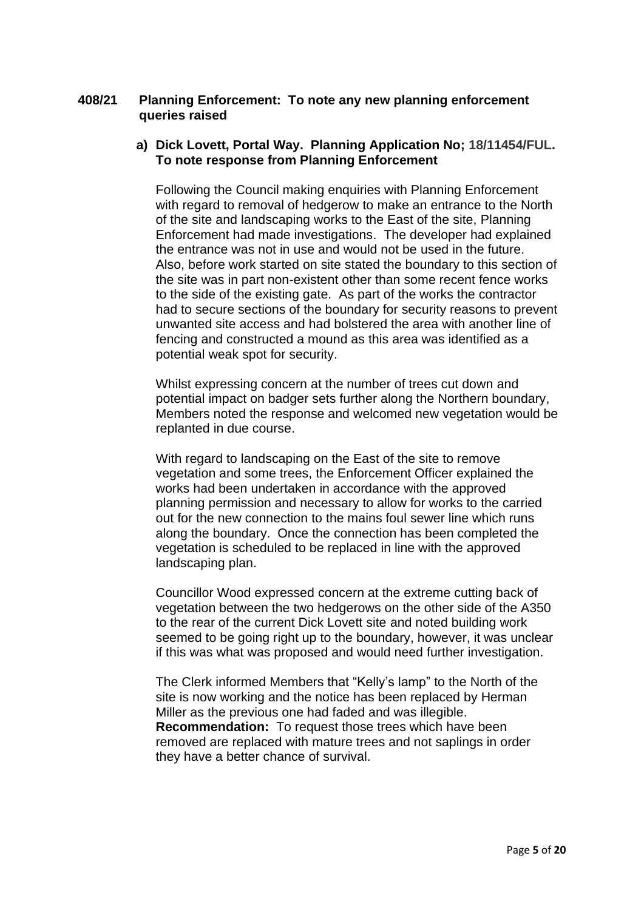### **408/21 Planning Enforcement: To note any new planning enforcement queries raised**

### **a) Dick Lovett, Portal Way. Planning Application No; 18/11454/FUL. To note response from Planning Enforcement**

Following the Council making enquiries with Planning Enforcement with regard to removal of hedgerow to make an entrance to the North of the site and landscaping works to the East of the site, Planning Enforcement had made investigations. The developer had explained the entrance was not in use and would not be used in the future. Also, before work started on site stated the boundary to this section of the site was in part non-existent other than some recent fence works to the side of the existing gate. As part of the works the contractor had to secure sections of the boundary for security reasons to prevent unwanted site access and had bolstered the area with another line of fencing and constructed a mound as this area was identified as a potential weak spot for security.

Whilst expressing concern at the number of trees cut down and potential impact on badger sets further along the Northern boundary, Members noted the response and welcomed new vegetation would be replanted in due course.

With regard to landscaping on the East of the site to remove vegetation and some trees, the Enforcement Officer explained the works had been undertaken in accordance with the approved planning permission and necessary to allow for works to the carried out for the new connection to the mains foul sewer line which runs along the boundary. Once the connection has been completed the vegetation is scheduled to be replaced in line with the approved landscaping plan.

Councillor Wood expressed concern at the extreme cutting back of vegetation between the two hedgerows on the other side of the A350 to the rear of the current Dick Lovett site and noted building work seemed to be going right up to the boundary, however, it was unclear if this was what was proposed and would need further investigation.

The Clerk informed Members that "Kelly's lamp" to the North of the site is now working and the notice has been replaced by Herman Miller as the previous one had faded and was illegible. **Recommendation:** To request those trees which have been removed are replaced with mature trees and not saplings in order they have a better chance of survival.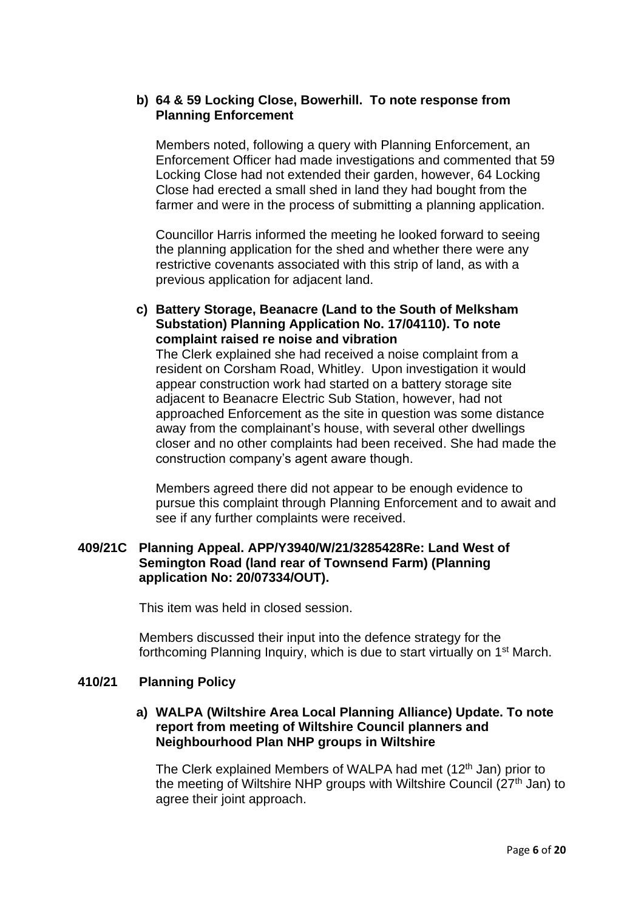### **b) 64 & 59 Locking Close, Bowerhill. To note response from Planning Enforcement**

Members noted, following a query with Planning Enforcement, an Enforcement Officer had made investigations and commented that 59 Locking Close had not extended their garden, however, 64 Locking Close had erected a small shed in land they had bought from the farmer and were in the process of submitting a planning application.

Councillor Harris informed the meeting he looked forward to seeing the planning application for the shed and whether there were any restrictive covenants associated with this strip of land, as with a previous application for adjacent land.

**c) Battery Storage, Beanacre (Land to the South of Melksham Substation) Planning Application No. 17/04110). To note complaint raised re noise and vibration**

The Clerk explained she had received a noise complaint from a resident on Corsham Road, Whitley. Upon investigation it would appear construction work had started on a battery storage site adjacent to Beanacre Electric Sub Station, however, had not approached Enforcement as the site in question was some distance away from the complainant's house, with several other dwellings closer and no other complaints had been received. She had made the construction company's agent aware though.

Members agreed there did not appear to be enough evidence to pursue this complaint through Planning Enforcement and to await and see if any further complaints were received.

### **409/21C Planning Appeal. APP/Y3940/W/21/3285428Re: Land West of Semington Road (land rear of Townsend Farm) (Planning application No: 20/07334/OUT).**

This item was held in closed session.

Members discussed their input into the defence strategy for the forthcoming Planning Inquiry, which is due to start virtually on 1<sup>st</sup> March.

#### **410/21 Planning Policy**

### **a) WALPA (Wiltshire Area Local Planning Alliance) Update. To note report from meeting of Wiltshire Council planners and Neighbourhood Plan NHP groups in Wiltshire**

The Clerk explained Members of WALPA had met (12<sup>th</sup> Jan) prior to the meeting of Wiltshire NHP groups with Wiltshire Council ( $27<sup>th</sup>$  Jan) to agree their joint approach.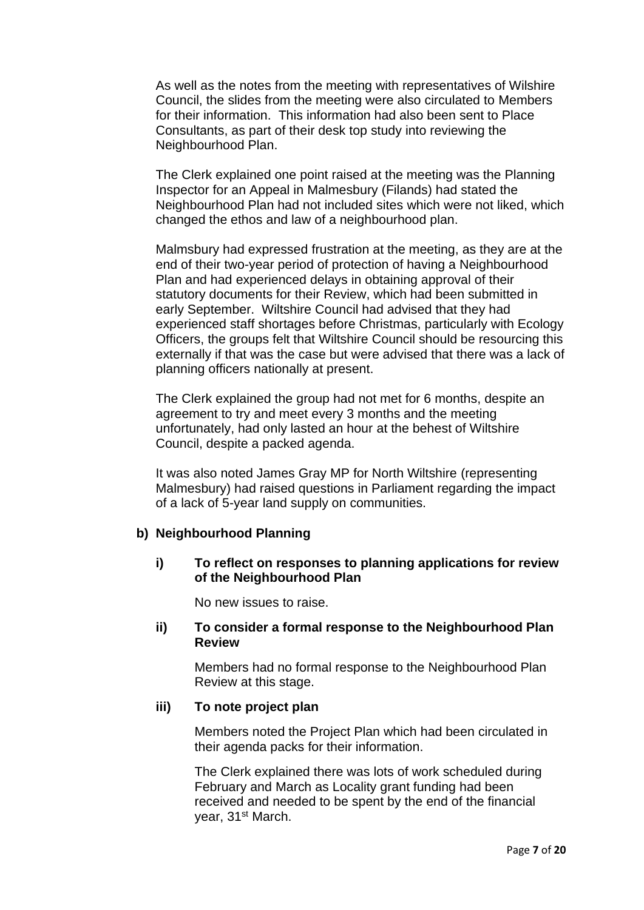As well as the notes from the meeting with representatives of Wilshire Council, the slides from the meeting were also circulated to Members for their information. This information had also been sent to Place Consultants, as part of their desk top study into reviewing the Neighbourhood Plan.

The Clerk explained one point raised at the meeting was the Planning Inspector for an Appeal in Malmesbury (Filands) had stated the Neighbourhood Plan had not included sites which were not liked, which changed the ethos and law of a neighbourhood plan.

Malmsbury had expressed frustration at the meeting, as they are at the end of their two-year period of protection of having a Neighbourhood Plan and had experienced delays in obtaining approval of their statutory documents for their Review, which had been submitted in early September. Wiltshire Council had advised that they had experienced staff shortages before Christmas, particularly with Ecology Officers, the groups felt that Wiltshire Council should be resourcing this externally if that was the case but were advised that there was a lack of planning officers nationally at present.

The Clerk explained the group had not met for 6 months, despite an agreement to try and meet every 3 months and the meeting unfortunately, had only lasted an hour at the behest of Wiltshire Council, despite a packed agenda.

It was also noted James Gray MP for North Wiltshire (representing Malmesbury) had raised questions in Parliament regarding the impact of a lack of 5-year land supply on communities.

### **b) Neighbourhood Planning**

**i) To reflect on responses to planning applications for review of the Neighbourhood Plan**

No new issues to raise.

### **ii) To consider a formal response to the Neighbourhood Plan Review**

Members had no formal response to the Neighbourhood Plan Review at this stage.

### **iii) To note project plan**

Members noted the Project Plan which had been circulated in their agenda packs for their information.

The Clerk explained there was lots of work scheduled during February and March as Locality grant funding had been received and needed to be spent by the end of the financial year, 31<sup>st</sup> March.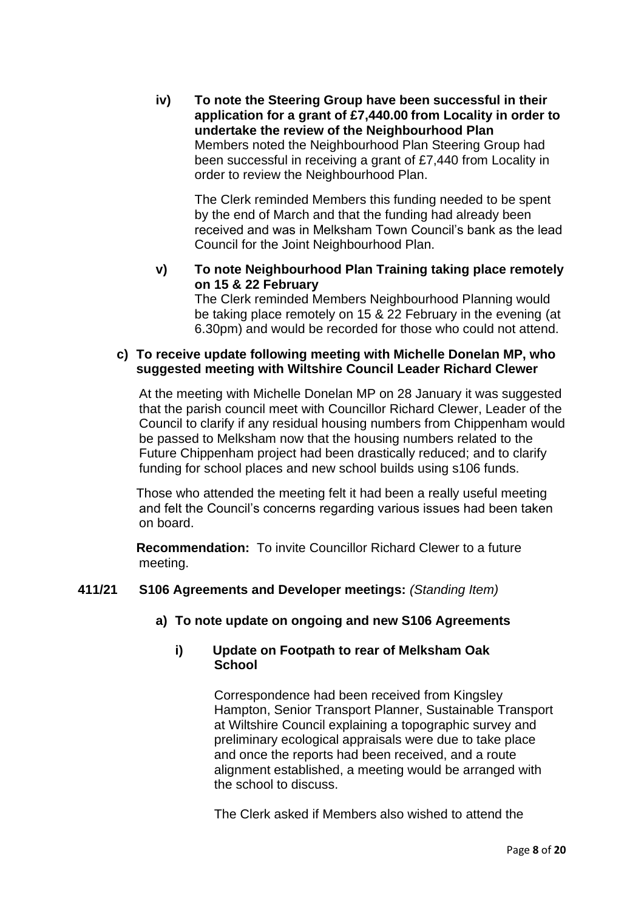**iv) To note the Steering Group have been successful in their application for a grant of £7,440.00 from Locality in order to undertake the review of the Neighbourhood Plan** Members noted the Neighbourhood Plan Steering Group had been successful in receiving a grant of £7,440 from Locality in order to review the Neighbourhood Plan.

The Clerk reminded Members this funding needed to be spent by the end of March and that the funding had already been received and was in Melksham Town Council's bank as the lead Council for the Joint Neighbourhood Plan.

**v) To note Neighbourhood Plan Training taking place remotely on 15 & 22 February**

The Clerk reminded Members Neighbourhood Planning would be taking place remotely on 15 & 22 February in the evening (at 6.30pm) and would be recorded for those who could not attend.

## **c) To receive update following meeting with Michelle Donelan MP, who suggested meeting with Wiltshire Council Leader Richard Clewer**

At the meeting with Michelle Donelan MP on 28 January it was suggested that the parish council meet with Councillor Richard Clewer, Leader of the Council to clarify if any residual housing numbers from Chippenham would be passed to Melksham now that the housing numbers related to the Future Chippenham project had been drastically reduced; and to clarify funding for school places and new school builds using s106 funds.

Those who attended the meeting felt it had been a really useful meeting and felt the Council's concerns regarding various issues had been taken on board.

**Recommendation:** To invite Councillor Richard Clewer to a future meeting.

## **411/21 S106 Agreements and Developer meetings:** *(Standing Item)*

## **a) To note update on ongoing and new S106 Agreements**

## **i) Update on Footpath to rear of Melksham Oak School**

Correspondence had been received from Kingsley Hampton, Senior Transport Planner, Sustainable Transport at Wiltshire Council explaining a topographic survey and preliminary ecological appraisals were due to take place and once the reports had been received, and a route alignment established, a meeting would be arranged with the school to discuss.

The Clerk asked if Members also wished to attend the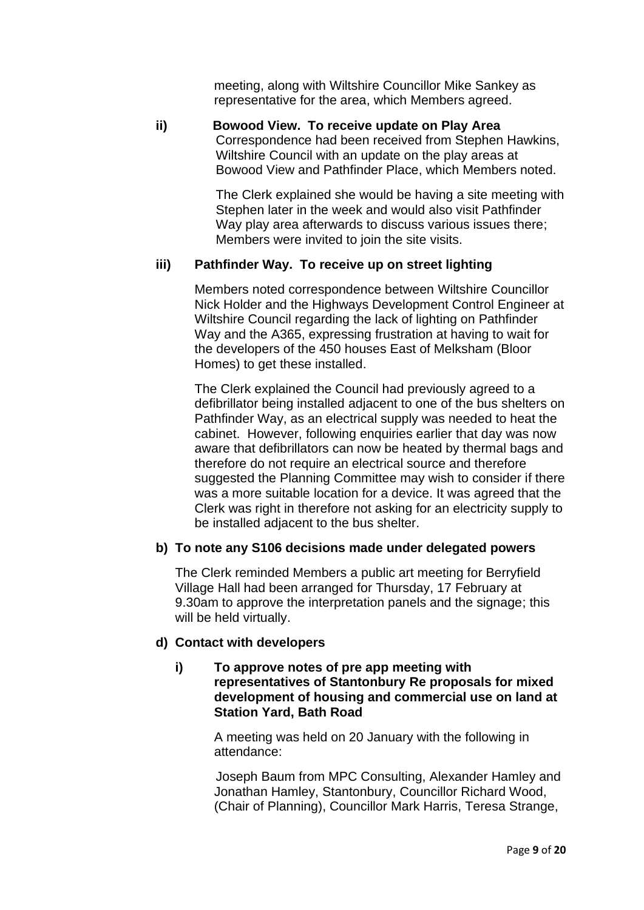meeting, along with Wiltshire Councillor Mike Sankey as representative for the area, which Members agreed.

#### **ii) Bowood View. To receive update on Play Area** Correspondence had been received from Stephen Hawkins, Wiltshire Council with an update on the play areas at Bowood View and Pathfinder Place, which Members noted.

The Clerk explained she would be having a site meeting with Stephen later in the week and would also visit Pathfinder Way play area afterwards to discuss various issues there; Members were invited to join the site visits.

## **iii) Pathfinder Way. To receive up on street lighting**

Members noted correspondence between Wiltshire Councillor Nick Holder and the Highways Development Control Engineer at Wiltshire Council regarding the lack of lighting on Pathfinder Way and the A365, expressing frustration at having to wait for the developers of the 450 houses East of Melksham (Bloor Homes) to get these installed.

The Clerk explained the Council had previously agreed to a defibrillator being installed adjacent to one of the bus shelters on Pathfinder Way, as an electrical supply was needed to heat the cabinet. However, following enquiries earlier that day was now aware that defibrillators can now be heated by thermal bags and therefore do not require an electrical source and therefore suggested the Planning Committee may wish to consider if there was a more suitable location for a device. It was agreed that the Clerk was right in therefore not asking for an electricity supply to be installed adjacent to the bus shelter.

#### **b) To note any S106 decisions made under delegated powers**

The Clerk reminded Members a public art meeting for Berryfield Village Hall had been arranged for Thursday, 17 February at 9.30am to approve the interpretation panels and the signage; this will be held virtually.

## **d) Contact with developers**

### **i) To approve notes of pre app meeting with representatives of Stantonbury Re proposals for mixed development of housing and commercial use on land at Station Yard, Bath Road**

A meeting was held on 20 January with the following in attendance:

Joseph Baum from MPC Consulting, Alexander Hamley and Jonathan Hamley, Stantonbury, Councillor Richard Wood, (Chair of Planning), Councillor Mark Harris, Teresa Strange,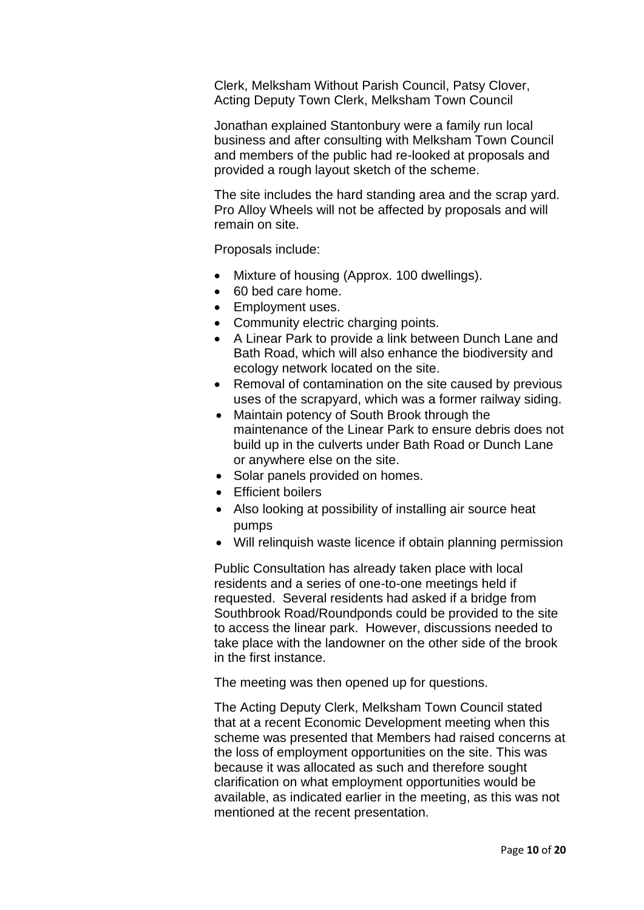Clerk, Melksham Without Parish Council, Patsy Clover, Acting Deputy Town Clerk, Melksham Town Council

Jonathan explained Stantonbury were a family run local business and after consulting with Melksham Town Council and members of the public had re-looked at proposals and provided a rough layout sketch of the scheme.

The site includes the hard standing area and the scrap yard. Pro Alloy Wheels will not be affected by proposals and will remain on site.

Proposals include:

- Mixture of housing (Approx. 100 dwellings).
- 60 bed care home.
- Employment uses.
- Community electric charging points.
- A Linear Park to provide a link between Dunch Lane and Bath Road, which will also enhance the biodiversity and ecology network located on the site.
- Removal of contamination on the site caused by previous uses of the scrapyard, which was a former railway siding.
- Maintain potency of South Brook through the maintenance of the Linear Park to ensure debris does not build up in the culverts under Bath Road or Dunch Lane or anywhere else on the site.
- Solar panels provided on homes.
- Efficient boilers
- Also looking at possibility of installing air source heat pumps
- Will relinquish waste licence if obtain planning permission

Public Consultation has already taken place with local residents and a series of one-to-one meetings held if requested. Several residents had asked if a bridge from Southbrook Road/Roundponds could be provided to the site to access the linear park. However, discussions needed to take place with the landowner on the other side of the brook in the first instance.

The meeting was then opened up for questions.

The Acting Deputy Clerk, Melksham Town Council stated that at a recent Economic Development meeting when this scheme was presented that Members had raised concerns at the loss of employment opportunities on the site. This was because it was allocated as such and therefore sought clarification on what employment opportunities would be available, as indicated earlier in the meeting, as this was not mentioned at the recent presentation.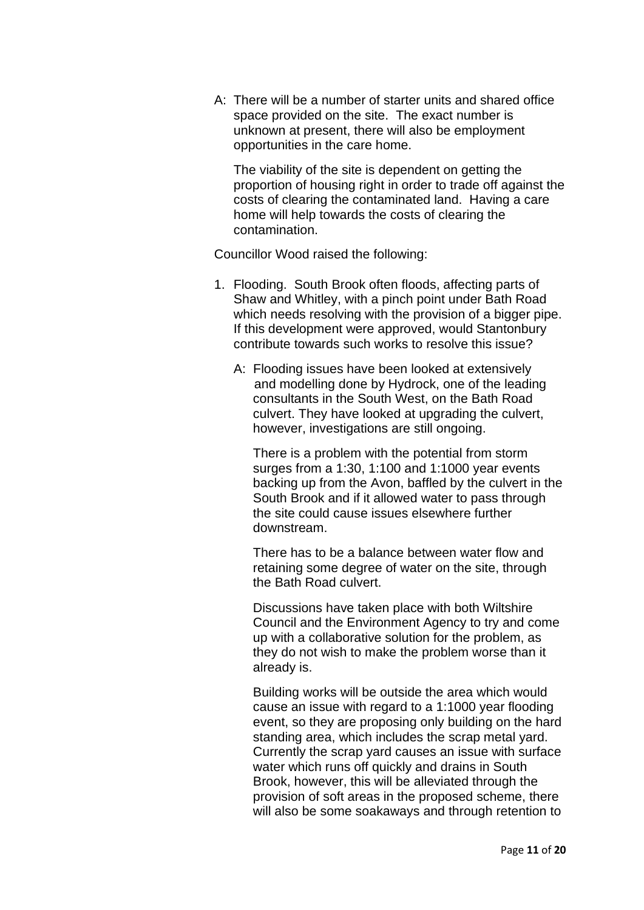A: There will be a number of starter units and shared office space provided on the site. The exact number is unknown at present, there will also be employment opportunities in the care home.

The viability of the site is dependent on getting the proportion of housing right in order to trade off against the costs of clearing the contaminated land. Having a care home will help towards the costs of clearing the contamination.

Councillor Wood raised the following:

- 1. Flooding. South Brook often floods, affecting parts of Shaw and Whitley, with a pinch point under Bath Road which needs resolving with the provision of a bigger pipe. If this development were approved, would Stantonbury contribute towards such works to resolve this issue?
	- A: Flooding issues have been looked at extensively and modelling done by Hydrock, one of the leading consultants in the South West, on the Bath Road culvert. They have looked at upgrading the culvert, however, investigations are still ongoing.

There is a problem with the potential from storm surges from a 1:30, 1:100 and 1:1000 year events backing up from the Avon, baffled by the culvert in the South Brook and if it allowed water to pass through the site could cause issues elsewhere further downstream.

There has to be a balance between water flow and retaining some degree of water on the site, through the Bath Road culvert.

Discussions have taken place with both Wiltshire Council and the Environment Agency to try and come up with a collaborative solution for the problem, as they do not wish to make the problem worse than it already is.

Building works will be outside the area which would cause an issue with regard to a 1:1000 year flooding event, so they are proposing only building on the hard standing area, which includes the scrap metal yard. Currently the scrap yard causes an issue with surface water which runs off quickly and drains in South Brook, however, this will be alleviated through the provision of soft areas in the proposed scheme, there will also be some soakaways and through retention to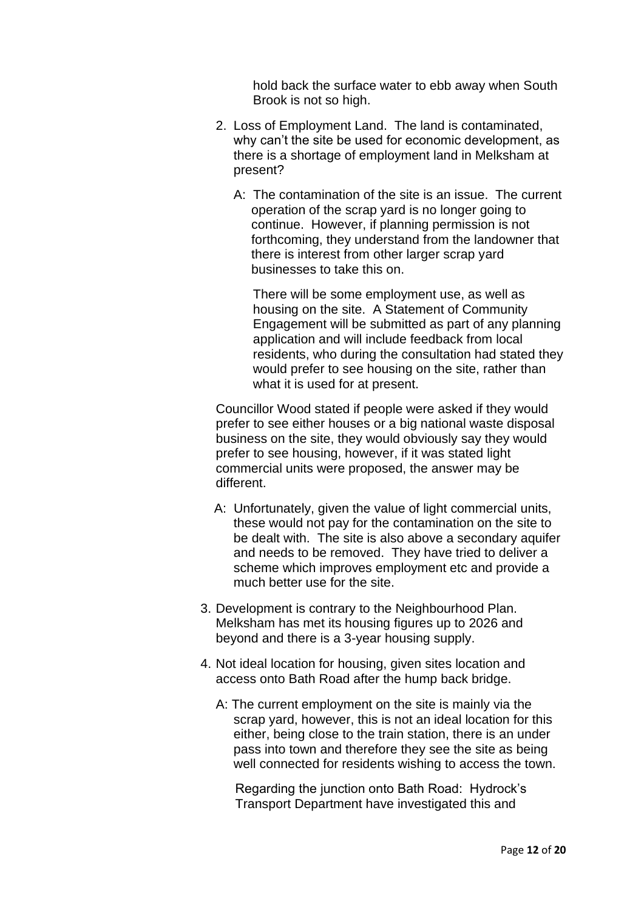hold back the surface water to ebb away when South Brook is not so high.

- 2. Loss of Employment Land. The land is contaminated, why can't the site be used for economic development, as there is a shortage of employment land in Melksham at present?
	- A: The contamination of the site is an issue. The current operation of the scrap yard is no longer going to continue. However, if planning permission is not forthcoming, they understand from the landowner that there is interest from other larger scrap yard businesses to take this on.

There will be some employment use, as well as housing on the site. A Statement of Community Engagement will be submitted as part of any planning application and will include feedback from local residents, who during the consultation had stated they would prefer to see housing on the site, rather than what it is used for at present.

Councillor Wood stated if people were asked if they would prefer to see either houses or a big national waste disposal business on the site, they would obviously say they would prefer to see housing, however, if it was stated light commercial units were proposed, the answer may be different.

- A: Unfortunately, given the value of light commercial units, these would not pay for the contamination on the site to be dealt with. The site is also above a secondary aquifer and needs to be removed. They have tried to deliver a scheme which improves employment etc and provide a much better use for the site.
- 3. Development is contrary to the Neighbourhood Plan. Melksham has met its housing figures up to 2026 and beyond and there is a 3-year housing supply.
- 4. Not ideal location for housing, given sites location and access onto Bath Road after the hump back bridge.
	- A: The current employment on the site is mainly via the scrap yard, however, this is not an ideal location for this either, being close to the train station, there is an under pass into town and therefore they see the site as being well connected for residents wishing to access the town.

Regarding the junction onto Bath Road: Hydrock's Transport Department have investigated this and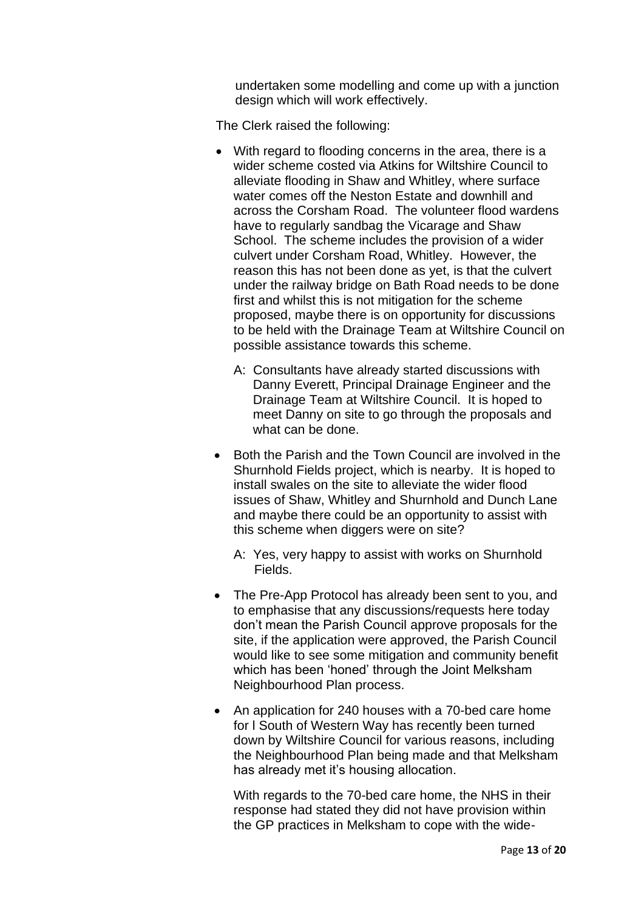undertaken some modelling and come up with a junction design which will work effectively.

The Clerk raised the following:

- With regard to flooding concerns in the area, there is a wider scheme costed via Atkins for Wiltshire Council to alleviate flooding in Shaw and Whitley, where surface water comes off the Neston Estate and downhill and across the Corsham Road. The volunteer flood wardens have to regularly sandbag the Vicarage and Shaw School. The scheme includes the provision of a wider culvert under Corsham Road, Whitley. However, the reason this has not been done as yet, is that the culvert under the railway bridge on Bath Road needs to be done first and whilst this is not mitigation for the scheme proposed, maybe there is on opportunity for discussions to be held with the Drainage Team at Wiltshire Council on possible assistance towards this scheme.
	- A: Consultants have already started discussions with Danny Everett, Principal Drainage Engineer and the Drainage Team at Wiltshire Council. It is hoped to meet Danny on site to go through the proposals and what can be done.
- Both the Parish and the Town Council are involved in the Shurnhold Fields project, which is nearby. It is hoped to install swales on the site to alleviate the wider flood issues of Shaw, Whitley and Shurnhold and Dunch Lane and maybe there could be an opportunity to assist with this scheme when diggers were on site?
	- A: Yes, very happy to assist with works on Shurnhold Fields.
- The Pre-App Protocol has already been sent to you, and to emphasise that any discussions/requests here today don't mean the Parish Council approve proposals for the site, if the application were approved, the Parish Council would like to see some mitigation and community benefit which has been 'honed' through the Joint Melksham Neighbourhood Plan process.
- An application for 240 houses with a 70-bed care home for l South of Western Way has recently been turned down by Wiltshire Council for various reasons, including the Neighbourhood Plan being made and that Melksham has already met it's housing allocation.

With regards to the 70-bed care home, the NHS in their response had stated they did not have provision within the GP practices in Melksham to cope with the wide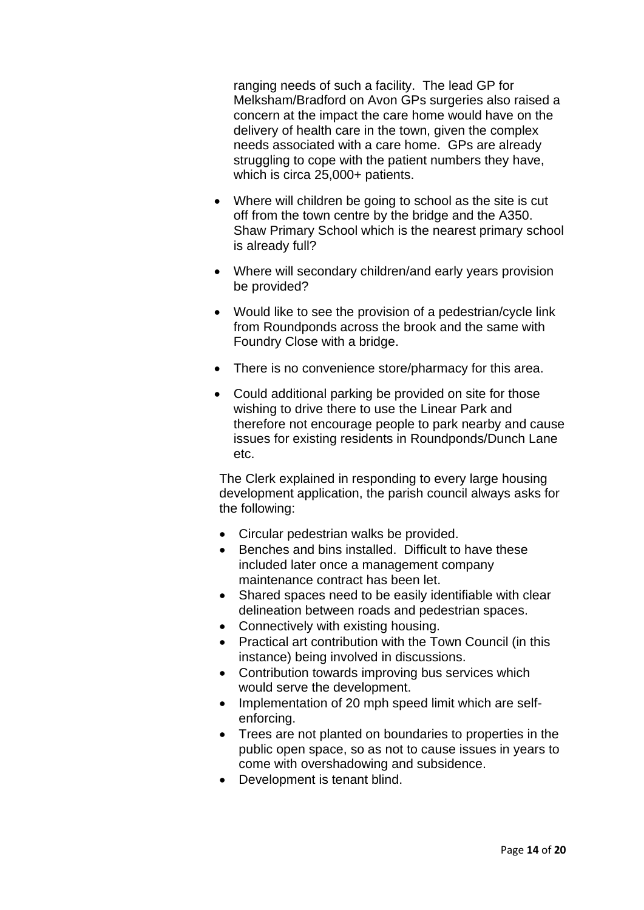ranging needs of such a facility. The lead GP for Melksham/Bradford on Avon GPs surgeries also raised a concern at the impact the care home would have on the delivery of health care in the town, given the complex needs associated with a care home. GPs are already struggling to cope with the patient numbers they have, which is circa 25,000+ patients.

- Where will children be going to school as the site is cut off from the town centre by the bridge and the A350. Shaw Primary School which is the nearest primary school is already full?
- Where will secondary children/and early years provision be provided?
- Would like to see the provision of a pedestrian/cycle link from Roundponds across the brook and the same with Foundry Close with a bridge.
- There is no convenience store/pharmacy for this area.
- Could additional parking be provided on site for those wishing to drive there to use the Linear Park and therefore not encourage people to park nearby and cause issues for existing residents in Roundponds/Dunch Lane etc.

The Clerk explained in responding to every large housing development application, the parish council always asks for the following:

- Circular pedestrian walks be provided.
- Benches and bins installed. Difficult to have these included later once a management company maintenance contract has been let.
- Shared spaces need to be easily identifiable with clear delineation between roads and pedestrian spaces.
- Connectively with existing housing.
- Practical art contribution with the Town Council (in this instance) being involved in discussions.
- Contribution towards improving bus services which would serve the development.
- Implementation of 20 mph speed limit which are selfenforcing.
- Trees are not planted on boundaries to properties in the public open space, so as not to cause issues in years to come with overshadowing and subsidence.
- Development is tenant blind.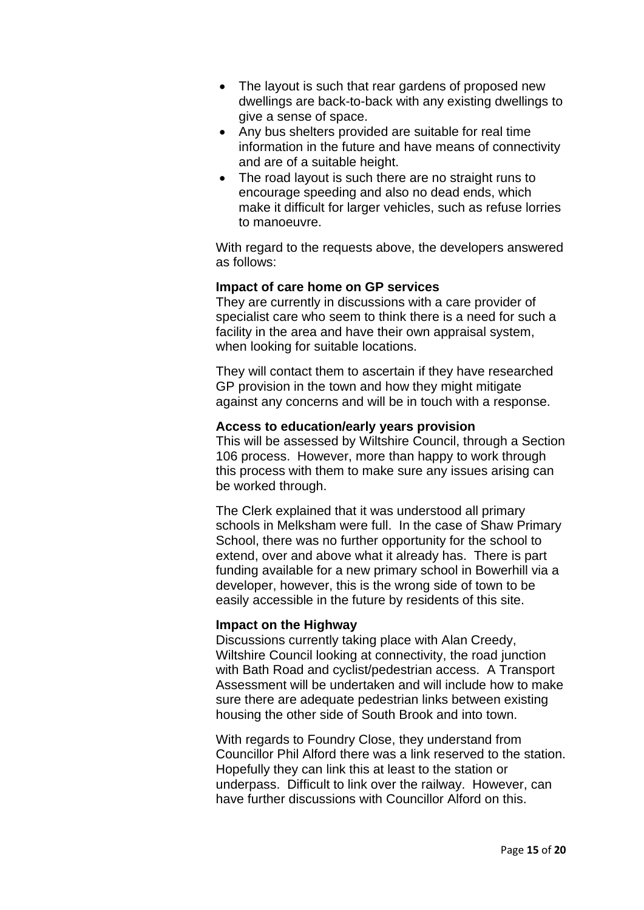- The layout is such that rear gardens of proposed new dwellings are back-to-back with any existing dwellings to give a sense of space.
- Any bus shelters provided are suitable for real time information in the future and have means of connectivity and are of a suitable height.
- The road layout is such there are no straight runs to encourage speeding and also no dead ends, which make it difficult for larger vehicles, such as refuse lorries to manoeuvre.

With regard to the requests above, the developers answered as follows:

#### **Impact of care home on GP services**

They are currently in discussions with a care provider of specialist care who seem to think there is a need for such a facility in the area and have their own appraisal system, when looking for suitable locations.

They will contact them to ascertain if they have researched GP provision in the town and how they might mitigate against any concerns and will be in touch with a response.

#### **Access to education/early years provision**

This will be assessed by Wiltshire Council, through a Section 106 process. However, more than happy to work through this process with them to make sure any issues arising can be worked through.

The Clerk explained that it was understood all primary schools in Melksham were full. In the case of Shaw Primary School, there was no further opportunity for the school to extend, over and above what it already has. There is part funding available for a new primary school in Bowerhill via a developer, however, this is the wrong side of town to be easily accessible in the future by residents of this site.

#### **Impact on the Highway**

Discussions currently taking place with Alan Creedy, Wiltshire Council looking at connectivity, the road junction with Bath Road and cyclist/pedestrian access. A Transport Assessment will be undertaken and will include how to make sure there are adequate pedestrian links between existing housing the other side of South Brook and into town.

With regards to Foundry Close, they understand from Councillor Phil Alford there was a link reserved to the station. Hopefully they can link this at least to the station or underpass. Difficult to link over the railway. However, can have further discussions with Councillor Alford on this.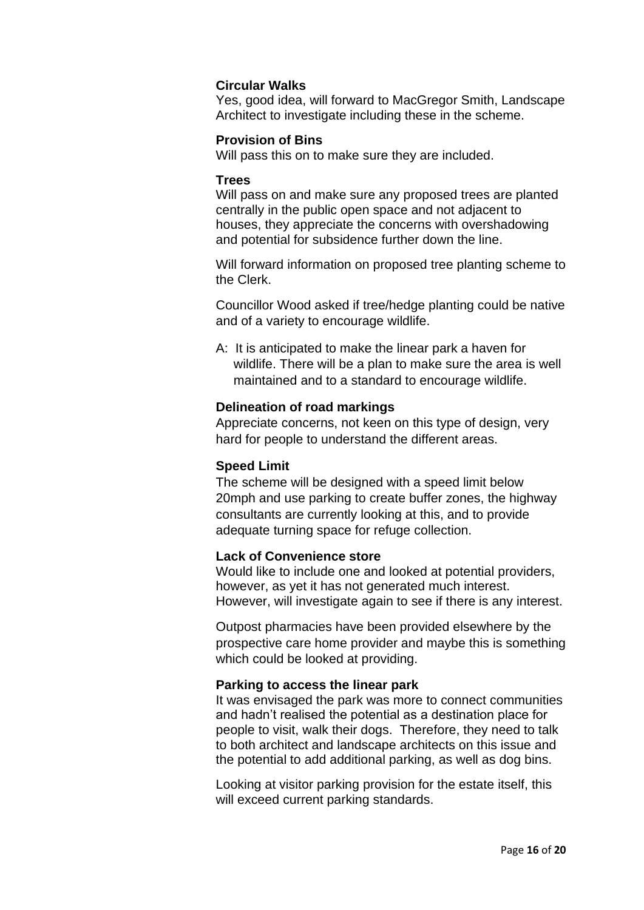## **Circular Walks**

Yes, good idea, will forward to MacGregor Smith, Landscape Architect to investigate including these in the scheme.

## **Provision of Bins**

Will pass this on to make sure they are included.

### **Trees**

Will pass on and make sure any proposed trees are planted centrally in the public open space and not adjacent to houses, they appreciate the concerns with overshadowing and potential for subsidence further down the line.

Will forward information on proposed tree planting scheme to the Clerk.

Councillor Wood asked if tree/hedge planting could be native and of a variety to encourage wildlife.

A: It is anticipated to make the linear park a haven for wildlife. There will be a plan to make sure the area is well maintained and to a standard to encourage wildlife.

### **Delineation of road markings**

Appreciate concerns, not keen on this type of design, very hard for people to understand the different areas.

## **Speed Limit**

The scheme will be designed with a speed limit below 20mph and use parking to create buffer zones, the highway consultants are currently looking at this, and to provide adequate turning space for refuge collection.

## **Lack of Convenience store**

Would like to include one and looked at potential providers, however, as yet it has not generated much interest. However, will investigate again to see if there is any interest.

Outpost pharmacies have been provided elsewhere by the prospective care home provider and maybe this is something which could be looked at providing.

## **Parking to access the linear park**

It was envisaged the park was more to connect communities and hadn't realised the potential as a destination place for people to visit, walk their dogs. Therefore, they need to talk to both architect and landscape architects on this issue and the potential to add additional parking, as well as dog bins.

Looking at visitor parking provision for the estate itself, this will exceed current parking standards.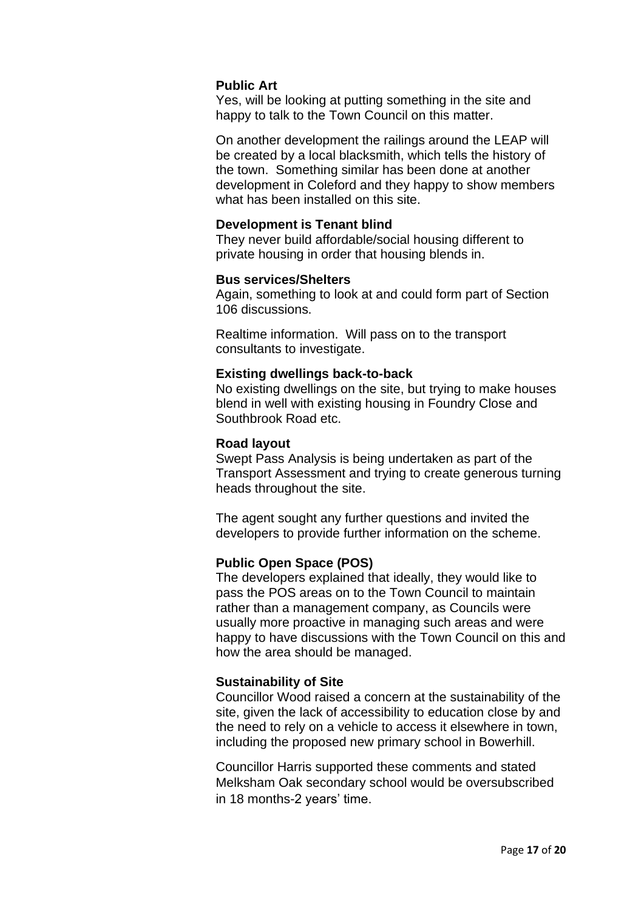### **Public Art**

Yes, will be looking at putting something in the site and happy to talk to the Town Council on this matter.

On another development the railings around the LEAP will be created by a local blacksmith, which tells the history of the town. Something similar has been done at another development in Coleford and they happy to show members what has been installed on this site.

#### **Development is Tenant blind**

They never build affordable/social housing different to private housing in order that housing blends in.

#### **Bus services/Shelters**

Again, something to look at and could form part of Section 106 discussions.

Realtime information. Will pass on to the transport consultants to investigate.

#### **Existing dwellings back-to-back**

No existing dwellings on the site, but trying to make houses blend in well with existing housing in Foundry Close and Southbrook Road etc.

### **Road layout**

Swept Pass Analysis is being undertaken as part of the Transport Assessment and trying to create generous turning heads throughout the site.

The agent sought any further questions and invited the developers to provide further information on the scheme.

#### **Public Open Space (POS)**

The developers explained that ideally, they would like to pass the POS areas on to the Town Council to maintain rather than a management company, as Councils were usually more proactive in managing such areas and were happy to have discussions with the Town Council on this and how the area should be managed.

#### **Sustainability of Site**

Councillor Wood raised a concern at the sustainability of the site, given the lack of accessibility to education close by and the need to rely on a vehicle to access it elsewhere in town, including the proposed new primary school in Bowerhill.

Councillor Harris supported these comments and stated Melksham Oak secondary school would be oversubscribed in 18 months-2 years' time.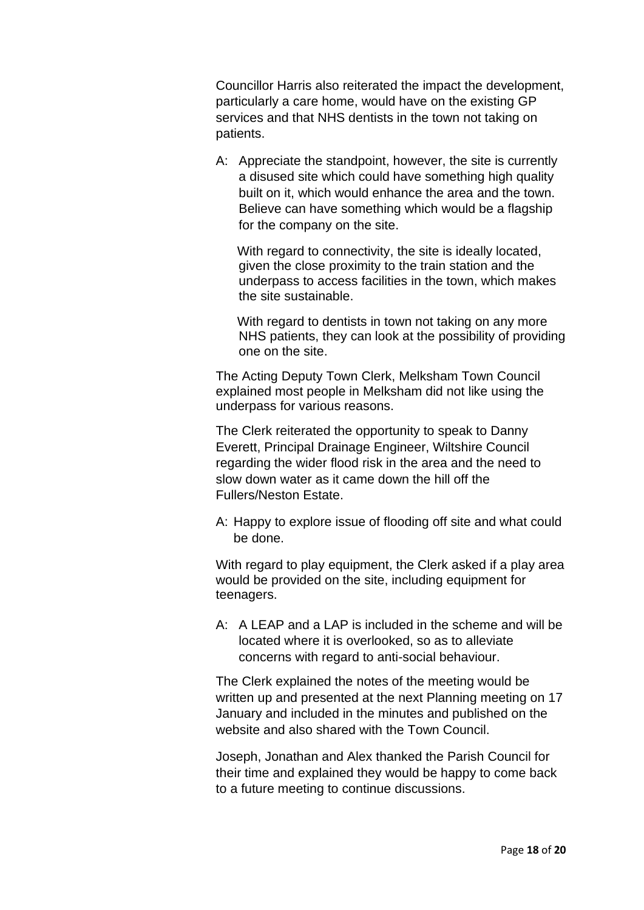Councillor Harris also reiterated the impact the development, particularly a care home, would have on the existing GP services and that NHS dentists in the town not taking on patients.

A: Appreciate the standpoint, however, the site is currently a disused site which could have something high quality built on it, which would enhance the area and the town. Believe can have something which would be a flagship for the company on the site.

With regard to connectivity, the site is ideally located. given the close proximity to the train station and the underpass to access facilities in the town, which makes the site sustainable.

With regard to dentists in town not taking on any more NHS patients, they can look at the possibility of providing one on the site.

The Acting Deputy Town Clerk, Melksham Town Council explained most people in Melksham did not like using the underpass for various reasons.

The Clerk reiterated the opportunity to speak to Danny Everett, Principal Drainage Engineer, Wiltshire Council regarding the wider flood risk in the area and the need to slow down water as it came down the hill off the Fullers/Neston Estate.

A: Happy to explore issue of flooding off site and what could be done.

With regard to play equipment, the Clerk asked if a play area would be provided on the site, including equipment for teenagers.

 $A: A \perp FAP$  and a LAP is included in the scheme and will be located where it is overlooked, so as to alleviate concerns with regard to anti-social behaviour.

The Clerk explained the notes of the meeting would be written up and presented at the next Planning meeting on 17 January and included in the minutes and published on the website and also shared with the Town Council.

Joseph, Jonathan and Alex thanked the Parish Council for their time and explained they would be happy to come back to a future meeting to continue discussions.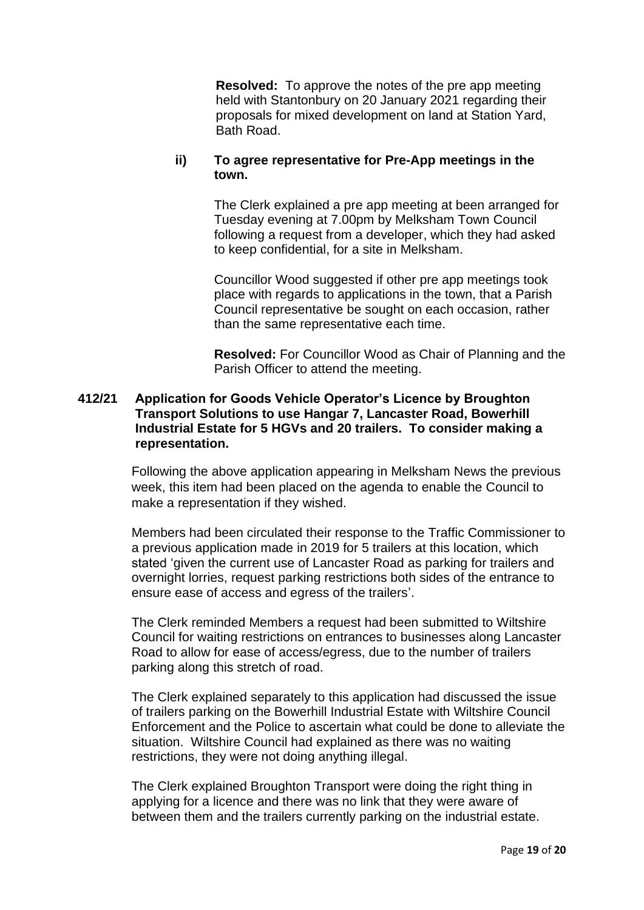**Resolved:** To approve the notes of the pre app meeting held with Stantonbury on 20 January 2021 regarding their proposals for mixed development on land at Station Yard, Bath Road.

### **ii) To agree representative for Pre-App meetings in the town.**

The Clerk explained a pre app meeting at been arranged for Tuesday evening at 7.00pm by Melksham Town Council following a request from a developer, which they had asked to keep confidential, for a site in Melksham.

Councillor Wood suggested if other pre app meetings took place with regards to applications in the town, that a Parish Council representative be sought on each occasion, rather than the same representative each time.

**Resolved:** For Councillor Wood as Chair of Planning and the Parish Officer to attend the meeting.

### **412/21 Application for Goods Vehicle Operator's Licence by Broughton Transport Solutions to use Hangar 7, Lancaster Road, Bowerhill Industrial Estate for 5 HGVs and 20 trailers. To consider making a representation.**

Following the above application appearing in Melksham News the previous week, this item had been placed on the agenda to enable the Council to make a representation if they wished.

Members had been circulated their response to the Traffic Commissioner to a previous application made in 2019 for 5 trailers at this location, which stated 'given the current use of Lancaster Road as parking for trailers and overnight lorries, request parking restrictions both sides of the entrance to ensure ease of access and egress of the trailers'.

The Clerk reminded Members a request had been submitted to Wiltshire Council for waiting restrictions on entrances to businesses along Lancaster Road to allow for ease of access/egress, due to the number of trailers parking along this stretch of road.

The Clerk explained separately to this application had discussed the issue of trailers parking on the Bowerhill Industrial Estate with Wiltshire Council Enforcement and the Police to ascertain what could be done to alleviate the situation. Wiltshire Council had explained as there was no waiting restrictions, they were not doing anything illegal.

The Clerk explained Broughton Transport were doing the right thing in applying for a licence and there was no link that they were aware of between them and the trailers currently parking on the industrial estate.